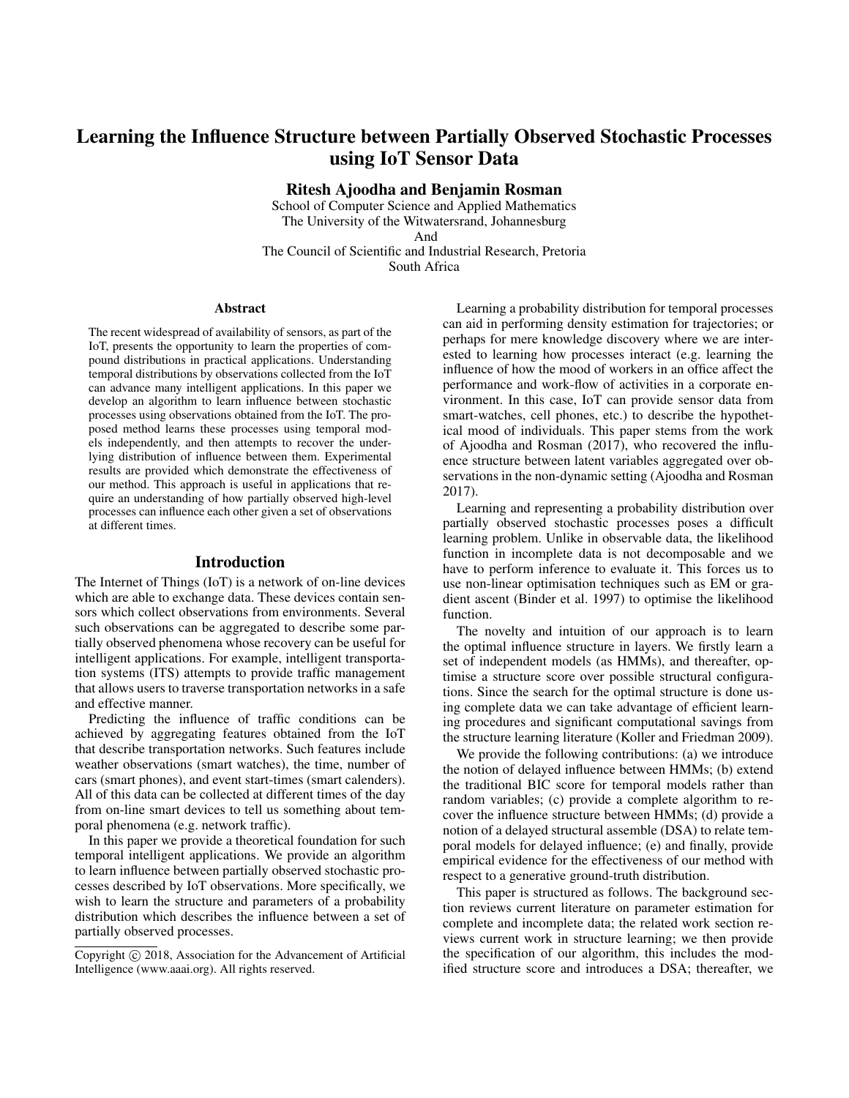# Learning the Influence Structure between Partially Observed Stochastic Processes using IoT Sensor Data

Ritesh Ajoodha and Benjamin Rosman

School of Computer Science and Applied Mathematics The University of the Witwatersrand, Johannesburg And

The Council of Scientific and Industrial Research, Pretoria South Africa

#### Abstract

The recent widespread of availability of sensors, as part of the IoT, presents the opportunity to learn the properties of compound distributions in practical applications. Understanding temporal distributions by observations collected from the IoT can advance many intelligent applications. In this paper we develop an algorithm to learn influence between stochastic processes using observations obtained from the IoT. The proposed method learns these processes using temporal models independently, and then attempts to recover the underlying distribution of influence between them. Experimental results are provided which demonstrate the effectiveness of our method. This approach is useful in applications that require an understanding of how partially observed high-level processes can influence each other given a set of observations at different times.

## Introduction

The Internet of Things (IoT) is a network of on-line devices which are able to exchange data. These devices contain sensors which collect observations from environments. Several such observations can be aggregated to describe some partially observed phenomena whose recovery can be useful for intelligent applications. For example, intelligent transportation systems (ITS) attempts to provide traffic management that allows users to traverse transportation networks in a safe and effective manner.

Predicting the influence of traffic conditions can be achieved by aggregating features obtained from the IoT that describe transportation networks. Such features include weather observations (smart watches), the time, number of cars (smart phones), and event start-times (smart calenders). All of this data can be collected at different times of the day from on-line smart devices to tell us something about temporal phenomena (e.g. network traffic).

In this paper we provide a theoretical foundation for such temporal intelligent applications. We provide an algorithm to learn influence between partially observed stochastic processes described by IoT observations. More specifically, we wish to learn the structure and parameters of a probability distribution which describes the influence between a set of partially observed processes.

Learning a probability distribution for temporal processes can aid in performing density estimation for trajectories; or perhaps for mere knowledge discovery where we are interested to learning how processes interact (e.g. learning the influence of how the mood of workers in an office affect the performance and work-flow of activities in a corporate environment. In this case, IoT can provide sensor data from smart-watches, cell phones, etc.) to describe the hypothetical mood of individuals. This paper stems from the work of Ajoodha and Rosman (2017), who recovered the influence structure between latent variables aggregated over observations in the non-dynamic setting (Ajoodha and Rosman 2017).

Learning and representing a probability distribution over partially observed stochastic processes poses a difficult learning problem. Unlike in observable data, the likelihood function in incomplete data is not decomposable and we have to perform inference to evaluate it. This forces us to use non-linear optimisation techniques such as EM or gradient ascent (Binder et al. 1997) to optimise the likelihood function.

The novelty and intuition of our approach is to learn the optimal influence structure in layers. We firstly learn a set of independent models (as HMMs), and thereafter, optimise a structure score over possible structural configurations. Since the search for the optimal structure is done using complete data we can take advantage of efficient learning procedures and significant computational savings from the structure learning literature (Koller and Friedman 2009).

We provide the following contributions: (a) we introduce the notion of delayed influence between HMMs; (b) extend the traditional BIC score for temporal models rather than random variables; (c) provide a complete algorithm to recover the influence structure between HMMs; (d) provide a notion of a delayed structural assemble (DSA) to relate temporal models for delayed influence; (e) and finally, provide empirical evidence for the effectiveness of our method with respect to a generative ground-truth distribution.

This paper is structured as follows. The background section reviews current literature on parameter estimation for complete and incomplete data; the related work section reviews current work in structure learning; we then provide the specification of our algorithm, this includes the modified structure score and introduces a DSA; thereafter, we

Copyright (c) 2018, Association for the Advancement of Artificial Intelligence (www.aaai.org). All rights reserved.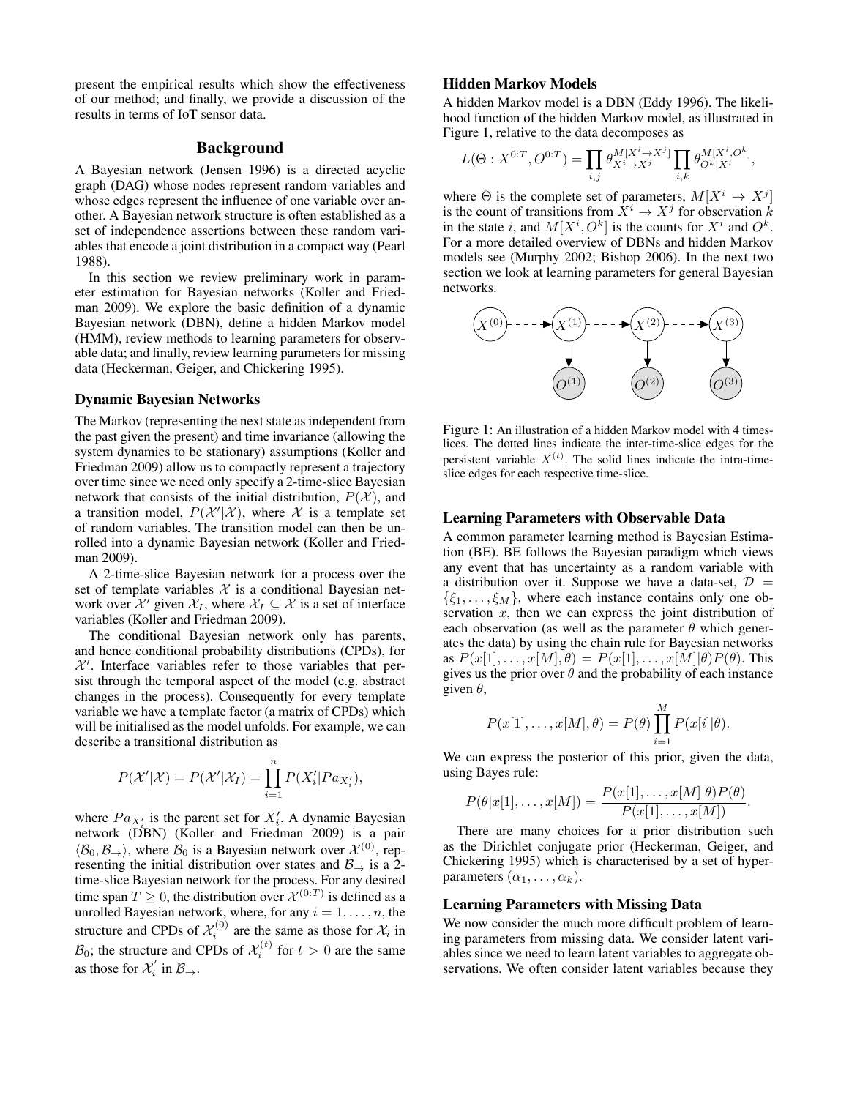present the empirical results which show the effectiveness of our method; and finally, we provide a discussion of the results in terms of IoT sensor data.

# Background

A Bayesian network (Jensen 1996) is a directed acyclic graph (DAG) whose nodes represent random variables and whose edges represent the influence of one variable over another. A Bayesian network structure is often established as a set of independence assertions between these random variables that encode a joint distribution in a compact way (Pearl 1988).

In this section we review preliminary work in parameter estimation for Bayesian networks (Koller and Friedman 2009). We explore the basic definition of a dynamic Bayesian network (DBN), define a hidden Markov model (HMM), review methods to learning parameters for observable data; and finally, review learning parameters for missing data (Heckerman, Geiger, and Chickering 1995).

#### Dynamic Bayesian Networks

The Markov (representing the next state as independent from the past given the present) and time invariance (allowing the system dynamics to be stationary) assumptions (Koller and Friedman 2009) allow us to compactly represent a trajectory over time since we need only specify a 2-time-slice Bayesian network that consists of the initial distribution,  $P(X)$ , and a transition model,  $P(X'|X)$ , where X is a template set of random variables. The transition model can then be unrolled into a dynamic Bayesian network (Koller and Friedman 2009).

A 2-time-slice Bayesian network for a process over the set of template variables  $X$  is a conditional Bayesian network over  $X'$  given  $X_I$ , where  $X_I \subseteq X$  is a set of interface variables (Koller and Friedman 2009).

The conditional Bayesian network only has parents, and hence conditional probability distributions (CPDs), for  $X'$ . Interface variables refer to those variables that persist through the temporal aspect of the model (e.g. abstract changes in the process). Consequently for every template variable we have a template factor (a matrix of CPDs) which will be initialised as the model unfolds. For example, we can describe a transitional distribution as

$$
P(\mathcal{X}'|\mathcal{X}) = P(\mathcal{X}'|\mathcal{X}_I) = \prod_{i=1}^n P(X'_i|Pa_{X'_i}),
$$

where  $Pa_{X'_i}$  is the parent set for  $X'_i$ . A dynamic Bayesian network (DBN) (Koller and Friedman 2009) is a pair  $\langle B_0, B_\rightarrow \rangle$ , where  $B_0$  is a Bayesian network over  $\mathcal{X}^{(0)}$ , representing the initial distribution over states and  $\mathcal{B}_{\rightarrow}$  is a 2time-slice Bayesian network for the process. For any desired time span  $T \geq 0$ , the distribution over  $\mathcal{X}^{(0:T)}$  is defined as a unrolled Bayesian network, where, for any  $i = 1, \ldots, n$ , the structure and CPDs of  $\mathcal{X}_i^{(0)}$  are the same as those for  $\mathcal{X}_i$  in  $\mathcal{B}_0$ ; the structure and CPDs of  $\mathcal{X}_i^{(t)}$  for  $t > 0$  are the same as those for  $\mathcal{X}'_i$  in  $\mathcal{B}_\rightarrow$ .

### Hidden Markov Models

A hidden Markov model is a DBN (Eddy 1996). The likelihood function of the hidden Markov model, as illustrated in Figure 1, relative to the data decomposes as

$$
L(\Theta: X^{0:T}, O^{0:T}) = \prod_{i,j} \theta_{X^i \to X^j}^{M[X^i \to X^j]} \prod_{i,k} \theta_{O^k|X^i}^{M[X^i, O^k]},
$$

where  $\Theta$  is the complete set of parameters,  $M[X^i \to X^j]$ is the count of transitions from  $\bar{X}^i \to X^j$  for observation  $\bar{k}$ in the state i, and  $M[X^i, O^k]$  is the counts for  $X^i$  and  $O^k$ . For a more detailed overview of DBNs and hidden Markov models see (Murphy 2002; Bishop 2006). In the next two section we look at learning parameters for general Bayesian networks.



Figure 1: An illustration of a hidden Markov model with 4 timeslices. The dotted lines indicate the inter-time-slice edges for the persistent variable  $X^{(t)}$ . The solid lines indicate the intra-timeslice edges for each respective time-slice.

#### Learning Parameters with Observable Data

A common parameter learning method is Bayesian Estimation (BE). BE follows the Bayesian paradigm which views any event that has uncertainty as a random variable with a distribution over it. Suppose we have a data-set,  $\mathcal{D}$  =  $\{\xi_1,\ldots,\xi_M\}$ , where each instance contains only one observation  $x$ , then we can express the joint distribution of each observation (as well as the parameter  $\theta$  which generates the data) by using the chain rule for Bayesian networks as  $P(x[1], \ldots, x[M], \theta) = P(x[1], \ldots, x[M] | \theta) P(\theta)$ . This gives us the prior over  $\theta$  and the probability of each instance given  $\theta$ ,

$$
P(x[1], \ldots, x[M], \theta) = P(\theta) \prod_{i=1}^{M} P(x[i] | \theta).
$$

We can express the posterior of this prior, given the data, using Bayes rule:

$$
P(\theta|x[1],\ldots,x[M]) = \frac{P(x[1],\ldots,x[M]|\theta)P(\theta)}{P(x[1],\ldots,x[M])}.
$$

There are many choices for a prior distribution such as the Dirichlet conjugate prior (Heckerman, Geiger, and Chickering 1995) which is characterised by a set of hyperparameters  $(\alpha_1, \ldots, \alpha_k)$ .

#### Learning Parameters with Missing Data

We now consider the much more difficult problem of learning parameters from missing data. We consider latent variables since we need to learn latent variables to aggregate observations. We often consider latent variables because they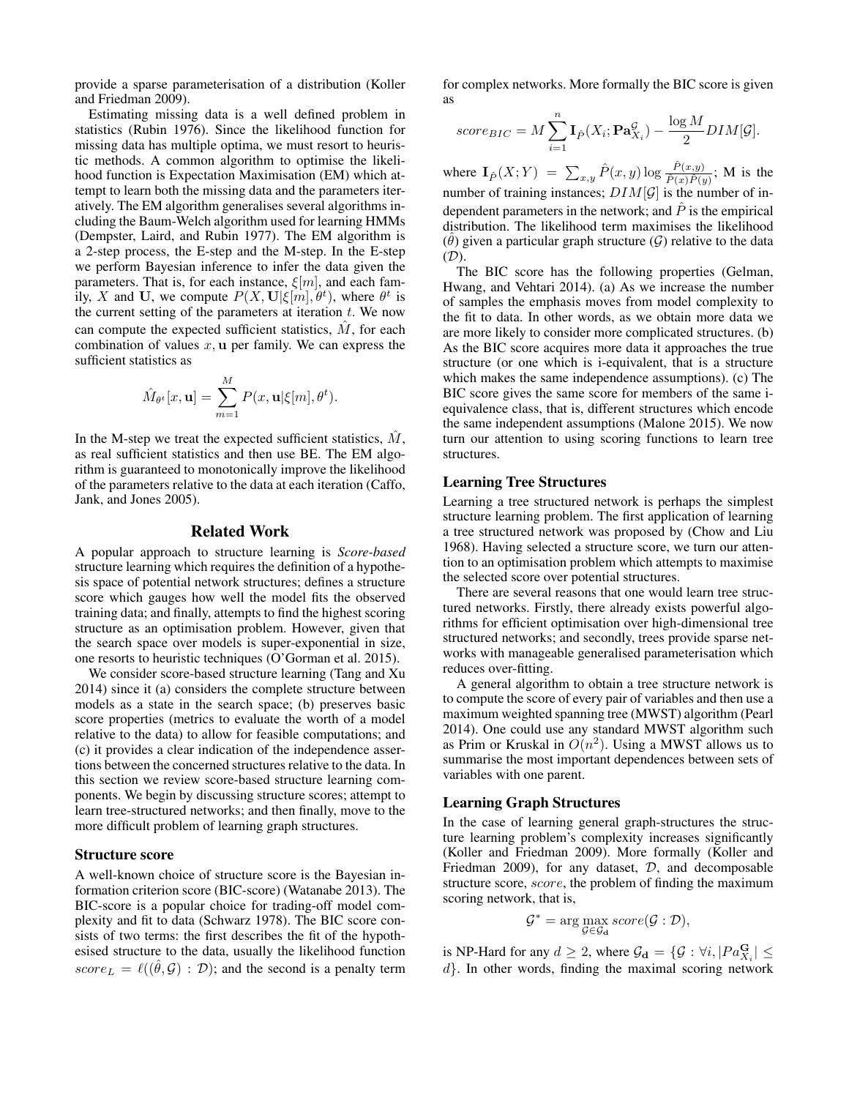provide a sparse parameterisation of a distribution (Koller and Friedman 2009).

Estimating missing data is a well defined problem in statistics (Rubin 1976). Since the likelihood function for missing data has multiple optima, we must resort to heuristic methods. A common algorithm to optimise the likelihood function is Expectation Maximisation (EM) which attempt to learn both the missing data and the parameters iteratively. The EM algorithm generalises several algorithms including the Baum-Welch algorithm used for learning HMMs (Dempster, Laird, and Rubin 1977). The EM algorithm is a 2-step process, the E-step and the M-step. In the E-step we perform Bayesian inference to infer the data given the parameters. That is, for each instance,  $\xi[m]$ , and each family, X and U, we compute  $P(X, U | \xi[m], \theta^t)$ , where  $\theta^t$  is the current setting of the parameters at iteration  $t$ . We now can compute the expected sufficient statistics,  $\hat{M}$ , for each combination of values  $x$ ,  $u$  per family. We can express the sufficient statistics as

$$
\hat{M}_{\theta^t}[x, \mathbf{u}] = \sum_{m=1}^M P(x, \mathbf{u} | \xi[m], \theta^t).
$$

In the M-step we treat the expected sufficient statistics,  $M$ , as real sufficient statistics and then use BE. The EM algorithm is guaranteed to monotonically improve the likelihood of the parameters relative to the data at each iteration (Caffo, Jank, and Jones 2005).

#### Related Work

A popular approach to structure learning is *Score-based* structure learning which requires the definition of a hypothesis space of potential network structures; defines a structure score which gauges how well the model fits the observed training data; and finally, attempts to find the highest scoring structure as an optimisation problem. However, given that the search space over models is super-exponential in size, one resorts to heuristic techniques (O'Gorman et al. 2015).

We consider score-based structure learning (Tang and Xu 2014) since it (a) considers the complete structure between models as a state in the search space; (b) preserves basic score properties (metrics to evaluate the worth of a model relative to the data) to allow for feasible computations; and (c) it provides a clear indication of the independence assertions between the concerned structures relative to the data. In this section we review score-based structure learning components. We begin by discussing structure scores; attempt to learn tree-structured networks; and then finally, move to the more difficult problem of learning graph structures.

#### Structure score

A well-known choice of structure score is the Bayesian information criterion score (BIC-score) (Watanabe 2013). The BIC-score is a popular choice for trading-off model complexity and fit to data (Schwarz 1978). The BIC score consists of two terms: the first describes the fit of the hypothesised structure to the data, usually the likelihood function  $score_L = \ell((\hat{\theta}, \mathcal{G}) : \mathcal{D})$ ; and the second is a penalty term

for complex networks. More formally the BIC score is given as

$$
score_{BIC} = M \sum_{i=1}^{n} \mathbf{I}_{\hat{P}}(X_i; \mathbf{Pa}_{X_i}^{\mathcal{G}}) - \frac{\log M}{2} DIM[\mathcal{G}].
$$

where  $\mathbf{I}_{\hat{P}}(X;Y) = \sum_{x,y} \hat{P}(x,y) \log \frac{\hat{P}(x,y)}{\hat{P}(x)\hat{P}(y)}$ ; M is the number of training instances;  $DIM[\mathcal{G}]$  is the number of independent parameters in the network; and  $\hat{P}$  is the empirical distribution. The likelihood term maximises the likelihood  $(\hat{\theta})$  given a particular graph structure  $(\mathcal{G})$  relative to the data (D).

The BIC score has the following properties (Gelman, Hwang, and Vehtari 2014). (a) As we increase the number of samples the emphasis moves from model complexity to the fit to data. In other words, as we obtain more data we are more likely to consider more complicated structures. (b) As the BIC score acquires more data it approaches the true structure (or one which is i-equivalent, that is a structure which makes the same independence assumptions). (c) The BIC score gives the same score for members of the same iequivalence class, that is, different structures which encode the same independent assumptions (Malone 2015). We now turn our attention to using scoring functions to learn tree structures.

## Learning Tree Structures

Learning a tree structured network is perhaps the simplest structure learning problem. The first application of learning a tree structured network was proposed by (Chow and Liu 1968). Having selected a structure score, we turn our attention to an optimisation problem which attempts to maximise the selected score over potential structures.

There are several reasons that one would learn tree structured networks. Firstly, there already exists powerful algorithms for efficient optimisation over high-dimensional tree structured networks; and secondly, trees provide sparse networks with manageable generalised parameterisation which reduces over-fitting.

A general algorithm to obtain a tree structure network is to compute the score of every pair of variables and then use a maximum weighted spanning tree (MWST) algorithm (Pearl 2014). One could use any standard MWST algorithm such as Prim or Kruskal in  $O(n^2)$ . Using a MWST allows us to summarise the most important dependences between sets of variables with one parent.

## Learning Graph Structures

In the case of learning general graph-structures the structure learning problem's complexity increases significantly (Koller and Friedman 2009). More formally (Koller and Friedman 2009), for any dataset,  $D$ , and decomposable structure score, score, the problem of finding the maximum scoring network, that is,

$$
\mathcal{G}^* = \arg\max_{\mathcal{G} \in \mathcal{G}_{\mathbf{d}}} score(\mathcal{G} : \mathcal{D}),
$$

is NP-Hard for any  $d \geq 2$ , where  $\mathcal{G}_{\mathbf{d}} = \{ \mathcal{G} : \forall i, |Pa_{X_i}^{\mathbf{G}}| \leq \alpha \}$  $d$ . In other words, finding the maximal scoring network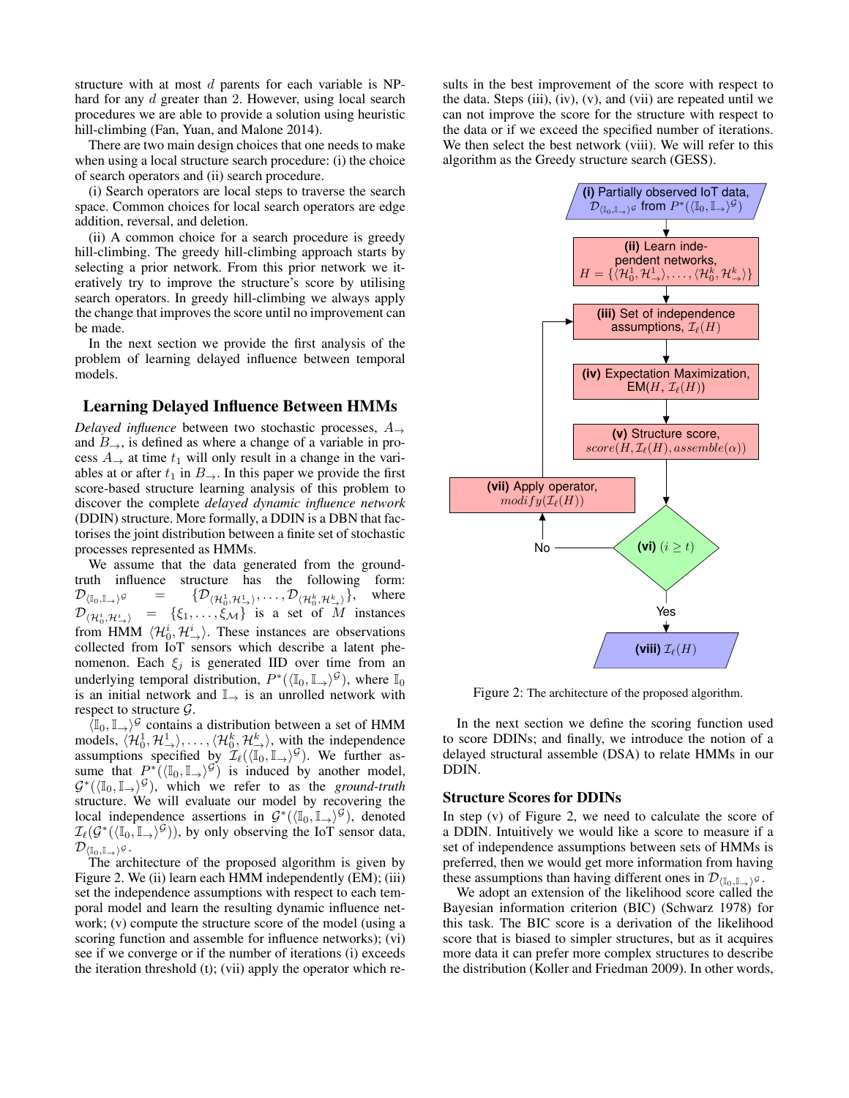structure with at most  $d$  parents for each variable is NPhard for any d greater than 2. However, using local search procedures we are able to provide a solution using heuristic hill-climbing (Fan, Yuan, and Malone 2014).

There are two main design choices that one needs to make when using a local structure search procedure: (i) the choice of search operators and (ii) search procedure.

(i) Search operators are local steps to traverse the search space. Common choices for local search operators are edge addition, reversal, and deletion.

(ii) A common choice for a search procedure is greedy hill-climbing. The greedy hill-climbing approach starts by selecting a prior network. From this prior network we iteratively try to improve the structure's score by utilising search operators. In greedy hill-climbing we always apply the change that improves the score until no improvement can be made.

In the next section we provide the first analysis of the problem of learning delayed influence between temporal models.

# Learning Delayed Influence Between HMMs

*Delayed influence* between two stochastic processes, A<sup>→</sup> and  $B_{\rightarrow}$ , is defined as where a change of a variable in process  $A_{\rightarrow}$  at time  $t_1$  will only result in a change in the variables at or after  $t_1$  in  $B_{\rightarrow}$ . In this paper we provide the first score-based structure learning analysis of this problem to discover the complete *delayed dynamic influence network* (DDIN) structure. More formally, a DDIN is a DBN that factorises the joint distribution between a finite set of stochastic processes represented as HMMs.

We assume that the data generated from the groundtruth influence structure has the following form:  $\mathcal{D}_{(\mathbb{I}_0,\mathbb{I}_{\rightarrow})^{\mathcal{G}}}$  =  $\{1,1,2,1},\ldots,\mathcal{D}_{\langle\mathcal{H}_0^k,\mathcal{H}_{\rightarrow}^k\rangle}\},\quad\text{where}$  $\mathcal{D}_{\langle \mathcal{H}_0^i, \mathcal{H}_{\rightarrow}^i \rangle}$  =  $\{\xi_1, \dots, \xi_{\mathcal{M}}\}$  is a set of M instances from HMM  $\langle \mathcal{H}_0^i, \mathcal{H}_\rightarrow^i \rangle$ . These instances are observations collected from IoT sensors which describe a latent phenomenon. Each  $\xi_j$  is generated IID over time from an underlying temporal distribution,  $P^*(\langle \mathbb{I}_0, \mathbb{I}_{\to} \rangle^{\mathcal{G}})$ , where  $\mathbb{I}_0$ is an initial network and  $\mathbb{I}$  is an unrolled network with respect to structure  $\mathcal{G}$ .

 $\langle \mathbb{I}_0, \mathbb{I}_+ \rangle$ <sup>G</sup> contains a distribution between a set of HMM models,  $\langle \mathcal{H}_0^1, \mathcal{H}_{\rightarrow}^1 \rangle, \ldots, \langle \mathcal{H}_0^k, \mathcal{H}_{\rightarrow}^k \rangle$ , with the independence assumptions specified by  $\mathcal{I}_{\ell}(\langle \overline{\mathbb{I}_0}, \mathbb{I}_{\rightarrow} \rangle^{\mathcal{G}})$ . We further assume that  $P^*(\langle \mathbb{I}_0, \mathbb{I}_{\rightarrow} \rangle^{\mathcal{G}})$  is induced by another model,  $\mathcal{G}^*(\langle \mathbb{I}_0, \mathbb{I}_\rightarrow \rangle^\mathcal{G})$ , which we refer to as the *ground-truth* structure. We will evaluate our model by recovering the local independence assertions in  $\mathcal{G}^*(\langle \mathbb{I}_0, \mathbb{I}_\rightarrow \rangle^\mathcal{G})$ , denoted  $\mathcal{I}_{\ell}(\mathcal{G}^*(\langle \mathbb{I}_0, \mathbb{I}_\rightarrow \rangle^{\mathcal{G}}))$ , by only observing the IoT sensor data,  $\mathcal{D}_{\langle \mathbb{I}_0, \mathbb{I}_+ \rangle}$ g.<br>The architecture of the proposed algorithm is given by

Figure 2. We (ii) learn each HMM independently (EM); (iii) set the independence assumptions with respect to each temporal model and learn the resulting dynamic influence network; (v) compute the structure score of the model (using a scoring function and assemble for influence networks); (vi) see if we converge or if the number of iterations (i) exceeds the iteration threshold (t); (vii) apply the operator which results in the best improvement of the score with respect to the data. Steps (iii),  $(iv)$ ,  $(v)$ , and  $(vii)$  are repeated until we can not improve the score for the structure with respect to the data or if we exceed the specified number of iterations. We then select the best network (viii). We will refer to this algorithm as the Greedy structure search (GESS).



Figure 2: The architecture of the proposed algorithm.

In the next section we define the scoring function used to score DDINs; and finally, we introduce the notion of a delayed structural assemble (DSA) to relate HMMs in our DDIN.

## Structure Scores for DDINs

In step (v) of Figure 2, we need to calculate the score of a DDIN. Intuitively we would like a score to measure if a set of independence assumptions between sets of HMMs is preferred, then we would get more information from having these assumptions than having different ones in  $\mathcal{D}_{(\mathbb{I}_0,\mathbb{I}_+)g}$ .

We adopt an extension of the likelihood score called the Bayesian information criterion (BIC) (Schwarz 1978) for this task. The BIC score is a derivation of the likelihood score that is biased to simpler structures, but as it acquires more data it can prefer more complex structures to describe the distribution (Koller and Friedman 2009). In other words,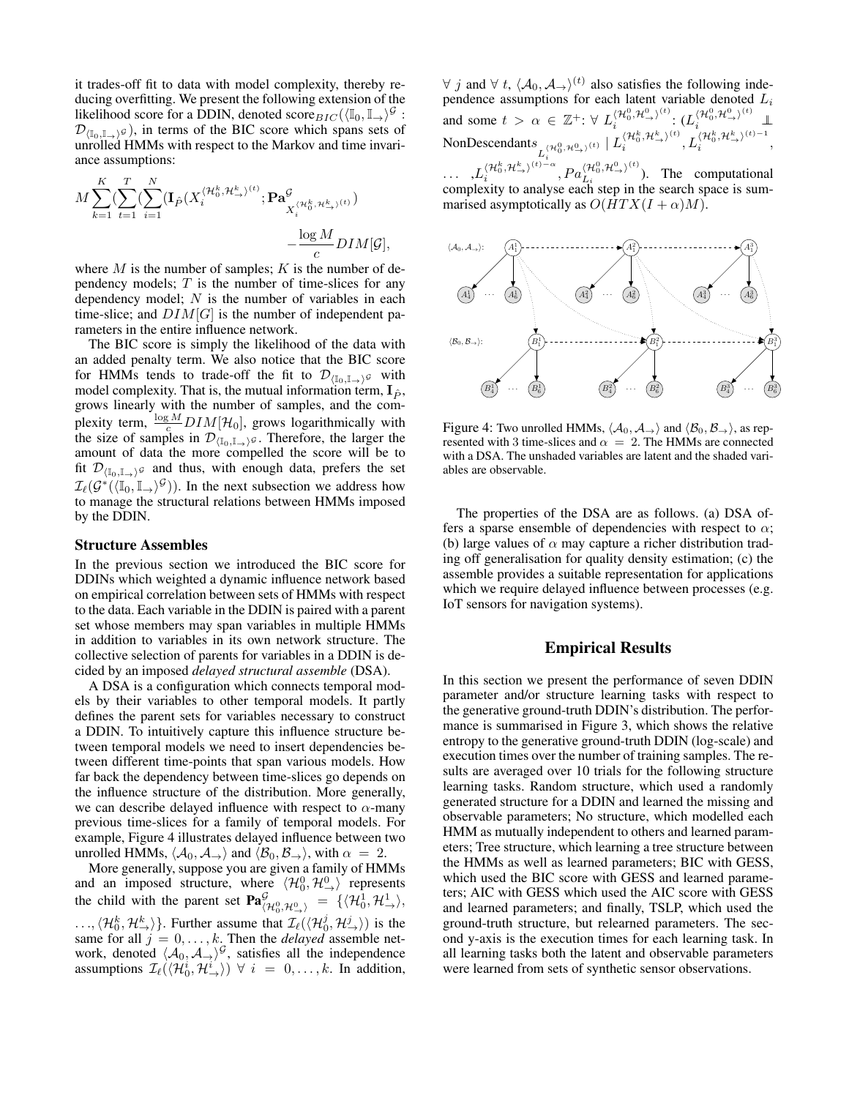it trades-off fit to data with model complexity, thereby reducing overfitting. We present the following extension of the likelihood score for a DDIN, denoted score  $_{BIC}(\langle \mathbb{I}_0, \mathbb{I}_+ \rangle^{\mathcal{G}})$ :  $\mathcal{D}_{(\mathbb{I}_0,\mathbb{I}_\rightarrow)^{\mathcal{G}}}$ , in terms of the BIC score which spans sets of unrolled HMMs with respect to the Markov and time invariance assumptions:

$$
M \sum_{k=1}^{K} (\sum_{t=1}^{T} (\sum_{i=1}^{N} (\mathbf{I}_{\hat{P}}(X_i^{\langle \mathcal{H}_0^k, \mathcal{H}_{\rightarrow}^k)^{(t)}}; \mathbf{Pa}_{X_i^{\langle \mathcal{H}_0^k, \mathcal{H}_{\rightarrow}^k)^{(t)}}})^K - \frac{\log M}{c} DIM[\mathcal{G}],
$$

where  $M$  is the number of samples;  $K$  is the number of dependency models;  $T$  is the number of time-slices for any dependency model;  $N$  is the number of variables in each time-slice; and  $DIM[G]$  is the number of independent parameters in the entire influence network.

The BIC score is simply the likelihood of the data with an added penalty term. We also notice that the BIC score for HMMs tends to trade-off the fit to  $\mathcal{D}_{(\mathbb{I}_0,\mathbb{I}_+)}\mathfrak{g}$  with model complexity. That is, the mutual information term,  $I_{\hat{P}}$ , grows linearly with the number of samples, and the complexity term,  $\frac{\log M}{c}$  DIM[H<sub>0</sub>], grows logarithmically with the size of samples in  $\mathcal{D}_{(\mathbb{I}_0,\mathbb{I}_\rightarrow)^g}$ . Therefore, the larger the amount of data the more compelled the score will be to fit  $\mathcal{D}_{(\mathbb{I}_0,\mathbb{I}_{\rightarrow})\mathcal{G}}$  and thus, with enough data, prefers the set  $\mathcal{I}_{\ell}(\mathcal{G}^*(\langle \mathbb{I}_0, \mathbb{I}_{\rightarrow} \rangle^{\mathcal{G}}))$ . In the next subsection we address how to manage the structural relations between HMMs imposed by the DDIN.

#### Structure Assembles

 $\sim$ 

In the previous section we introduced the BIC score for DDINs which weighted a dynamic influence network based on empirical correlation between sets of HMMs with respect to the data. Each variable in the DDIN is paired with a parent set whose members may span variables in multiple HMMs in addition to variables in its own network structure. The collective selection of parents for variables in a DDIN is decided by an imposed *delayed structural assemble* (DSA).

A DSA is a configuration which connects temporal models by their variables to other temporal models. It partly defines the parent sets for variables necessary to construct a DDIN. To intuitively capture this influence structure between temporal models we need to insert dependencies between different time-points that span various models. How far back the dependency between time-slices go depends on the influence structure of the distribution. More generally, we can describe delayed influence with respect to  $\alpha$ -many previous time-slices for a family of temporal models. For example, Figure 4 illustrates delayed influence between two unrolled HMMs,  $\langle A_0, A_{\rightarrow} \rangle$  and  $\langle B_0, B_{\rightarrow} \rangle$ , with  $\alpha = 2$ .

More generally, suppose you are given a family of HMMs and an imposed structure, where  $\langle \mathcal{H}_0^0, \mathcal{H}_\rightarrow^0 \rangle$  represents the child with the parent set  $\mathbf{Pa}^{\mathcal{G}}_{\langle \mathcal{H}^0_0, \mathcal{H}^0_{\rightarrow} \rangle} = \{ \langle \mathcal{H}^1_0, \mathcal{H}^1_{\rightarrow} \rangle,$  $\langle \mathcal{H}_0^k, \mathcal{H}_\infty^k \rangle$ . Further assume that  $\mathcal{I}_{\ell}(\langle \mathcal{H}_0^j, \mathcal{H}_\infty^j \rangle)$  is the same for all  $j = 0, \ldots, k$ . Then the *delayed* assemble network, denoted  $\langle A_0, A_{\rightarrow} \rangle^{\mathcal{G}}$ , satisfies all the independence assumptions  $\mathcal{I}_{\ell}(\langle \mathcal{H}_0^i, \mathcal{H}_{\rightarrow}^{i'} \rangle) \ \forall \ i = 0, \ldots, k$ . In addition,

 $\forall$  j and  $\forall$  t,  $\langle A_0, A_{\rightarrow} \rangle^{(t)}$  also satisfies the following independence assumptions for each latent variable denoted  $L_i$ and some  $t > \alpha \in \mathbb{Z}^+$ :  $\forall L_i^{\langle \mathcal{H}_0^0, \mathcal{H}_\rightarrow^{0} \rangle^{(t)}}$  $\langle \mathcal{H}_0^0,\mathcal{H}_{\rightarrow}^0\rangle^{(t)}\colon (L^{\langle\mathcal{H}_0^0,\mathcal{H}_{\rightarrow}^0\rangle^{(t)}}_i\; \; \; \bot)$ NonDescendants  $L_i^{\langle \mathcal{H}_0^0, \mathcal{H}_{\rightarrow}^0 \rangle^{(t)}}$ i  $| L_i^{\langle \mathcal{H}_0^k, \mathcal{H}^k_{\rightarrow} \rangle^{(t)}}$  $\langle \mathcal{H}_0^k, \mathcal{H}^k_{\rightarrow} \rangle^{(t)}, L_i^{\langle \mathcal{H}_0^k, \mathcal{H}^k_{\rightarrow} \rangle^{(t)-1}}$  $\binom{n_0, n_{\rightarrow}}{i}$ ,  $\ldots \quad, L_i^{\langle\mathcal{H}_0^k,\mathcal{H}_\rightarrow^k\rangle^{(t)-\alpha}}$  $\langle \mathcal{H}_0^k, \mathcal{H}_\rightarrow^{k}\rangle^{(t)-\alpha}, Pa^{\langle \mathcal{H}_0^0, \mathcal{H}_\rightarrow^{0}\rangle^{(t)}}_{L_i}$  $\binom{n_0, n_{\rightarrow}}{L_i}$ . The computational

complexity to analyse each step in the search space is summarised asymptotically as  $O(HTX(I + \alpha)M)$ .



Figure 4: Two unrolled HMMs,  $\langle A_0, A_{\rightarrow} \rangle$  and  $\langle B_0, B_{\rightarrow} \rangle$ , as represented with 3 time-slices and  $\alpha = 2$ . The HMMs are connected with a DSA. The unshaded variables are latent and the shaded variables are observable.

The properties of the DSA are as follows. (a) DSA offers a sparse ensemble of dependencies with respect to  $\alpha$ ; (b) large values of  $\alpha$  may capture a richer distribution trading off generalisation for quality density estimation; (c) the assemble provides a suitable representation for applications which we require delayed influence between processes (e.g. IoT sensors for navigation systems).

# Empirical Results

In this section we present the performance of seven DDIN parameter and/or structure learning tasks with respect to the generative ground-truth DDIN's distribution. The performance is summarised in Figure 3, which shows the relative entropy to the generative ground-truth DDIN (log-scale) and execution times over the number of training samples. The results are averaged over 10 trials for the following structure learning tasks. Random structure, which used a randomly generated structure for a DDIN and learned the missing and observable parameters; No structure, which modelled each HMM as mutually independent to others and learned parameters; Tree structure, which learning a tree structure between the HMMs as well as learned parameters; BIC with GESS, which used the BIC score with GESS and learned parameters; AIC with GESS which used the AIC score with GESS and learned parameters; and finally, TSLP, which used the ground-truth structure, but relearned parameters. The second y-axis is the execution times for each learning task. In all learning tasks both the latent and observable parameters were learned from sets of synthetic sensor observations.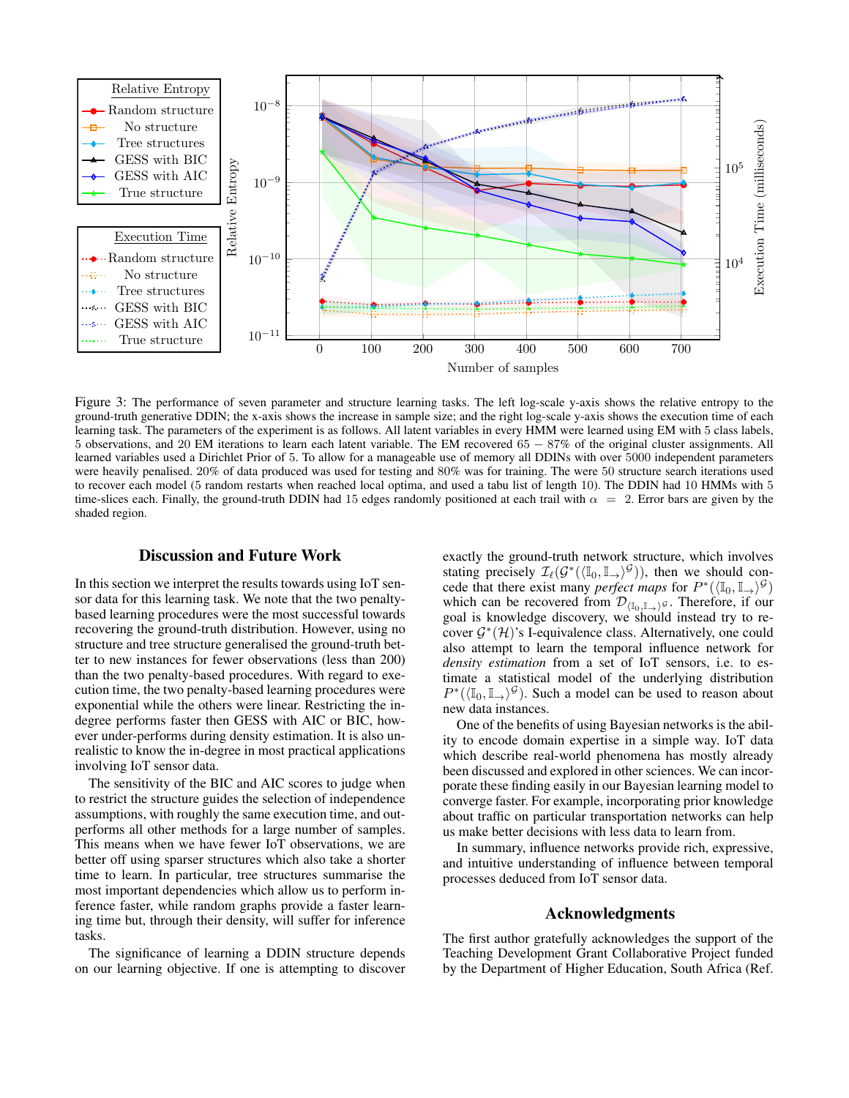

Figure 3: The performance of seven parameter and structure learning tasks. The left log-scale y-axis shows the relative entropy to the ground-truth generative DDIN; the x-axis shows the increase in sample size; and the right log-scale y-axis shows the execution time of each learning task. The parameters of the experiment is as follows. All latent variables in every HMM were learned using EM with 5 class labels, 5 observations, and 20 EM iterations to learn each latent variable. The EM recovered 65 − 87% of the original cluster assignments. All learned variables used a Dirichlet Prior of 5. To allow for a manageable use of memory all DDINs with over 5000 independent parameters were heavily penalised. 20% of data produced was used for testing and 80% was for training. The were 50 structure search iterations used to recover each model (5 random restarts when reached local optima, and used a tabu list of length 10). The DDIN had 10 HMMs with 5 time-slices each. Finally, the ground-truth DDIN had 15 edges randomly positioned at each trail with  $\alpha = 2$ . Error bars are given by the shaded region.

# Discussion and Future Work

In this section we interpret the results towards using IoT sensor data for this learning task. We note that the two penaltybased learning procedures were the most successful towards recovering the ground-truth distribution. However, using no structure and tree structure generalised the ground-truth better to new instances for fewer observations (less than 200) than the two penalty-based procedures. With regard to execution time, the two penalty-based learning procedures were exponential while the others were linear. Restricting the indegree performs faster then GESS with AIC or BIC, however under-performs during density estimation. It is also unrealistic to know the in-degree in most practical applications involving IoT sensor data.

The sensitivity of the BIC and AIC scores to judge when to restrict the structure guides the selection of independence assumptions, with roughly the same execution time, and outperforms all other methods for a large number of samples. This means when we have fewer IoT observations, we are better off using sparser structures which also take a shorter time to learn. In particular, tree structures summarise the most important dependencies which allow us to perform inference faster, while random graphs provide a faster learning time but, through their density, will suffer for inference tasks.

The significance of learning a DDIN structure depends on our learning objective. If one is attempting to discover exactly the ground-truth network structure, which involves stating precisely  $\mathcal{I}_{\ell}(\mathcal{G}^*(\langle \mathbb{I}_0, \mathbb{I}_\rightarrow \rangle^\mathcal{G}))$ , then we should concede that there exist many *perfect maps* for  $P^*(\langle \mathbb{I}_0, \mathbb{I}_{\to} \rangle^{\mathcal{G}})$ which can be recovered from  $\mathcal{D}_{\langle \mathbb{I}_0, \mathbb{I}_+ \rangle}$ g. Therefore, if our goal is knowledge discovery, we should instead try to recover  $\mathcal{G}^*(\mathcal{H})$ 's I-equivalence class. Alternatively, one could also attempt to learn the temporal influence network for *density estimation* from a set of IoT sensors, i.e. to estimate a statistical model of the underlying distribution  $P^*(\langle \mathbb{I}_0, \mathbb{I}_{\to} \rangle^{\mathcal{G}})$ . Such a model can be used to reason about new data instances.

One of the benefits of using Bayesian networks is the ability to encode domain expertise in a simple way. IoT data which describe real-world phenomena has mostly already been discussed and explored in other sciences. We can incorporate these finding easily in our Bayesian learning model to converge faster. For example, incorporating prior knowledge about traffic on particular transportation networks can help us make better decisions with less data to learn from.

In summary, influence networks provide rich, expressive, and intuitive understanding of influence between temporal processes deduced from IoT sensor data.

# Acknowledgments

The first author gratefully acknowledges the support of the Teaching Development Grant Collaborative Project funded by the Department of Higher Education, South Africa (Ref.